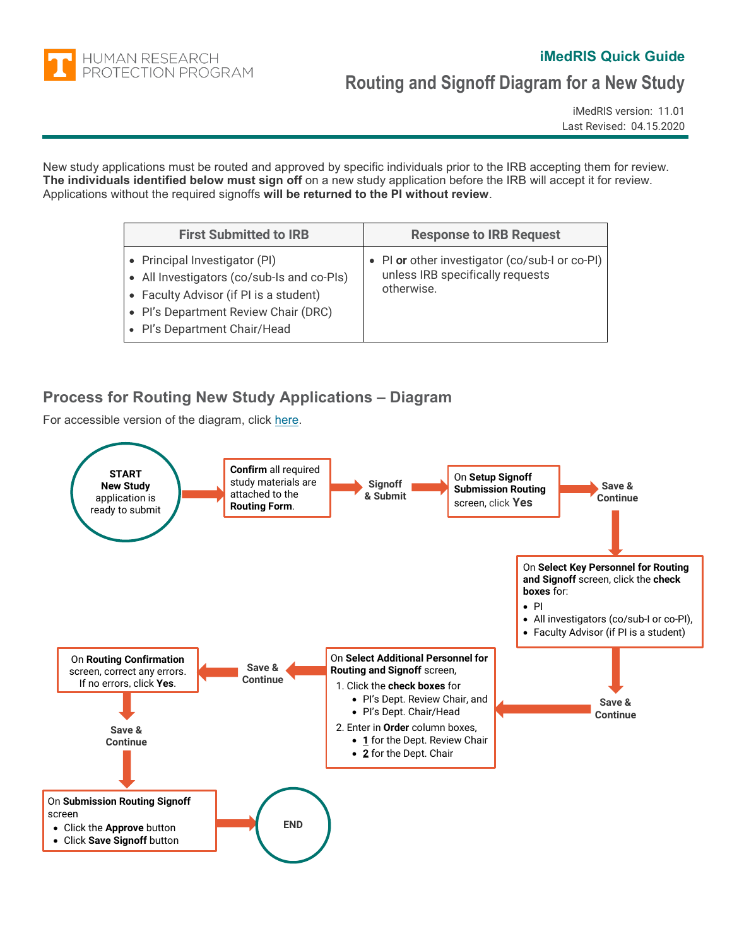

#### **iMedRIS Quick Guide**

# **Routing and Signoff Diagram for a New Study**

iMedRIS version: 11.01 Last Revised: 04.15.2020

New study applications must be routed and approved by specific individuals prior to the IRB accepting them for review. **The individuals identified below must sign off** on a new study application before the IRB will accept it for review. Applications without the required signoffs **will be returned to the PI without review**.

| <b>First Submitted to IRB</b>                                                                                                                                                                 | <b>Response to IRB Request</b>                                                                   |
|-----------------------------------------------------------------------------------------------------------------------------------------------------------------------------------------------|--------------------------------------------------------------------------------------------------|
| • Principal Investigator (PI)<br>• All Investigators (co/sub-Is and co-PIs)<br>• Faculty Advisor (if PI is a student)<br>• Pl's Department Review Chair (DRC)<br>• Pl's Department Chair/Head | • PI or other investigator (co/sub-I or co-PI)<br>unless IRB specifically requests<br>otherwise. |

#### **Process for Routing New Study Applications – Diagram**

For accessible version of the diagram, click [here.](#page-0-0)

<span id="page-0-0"></span>